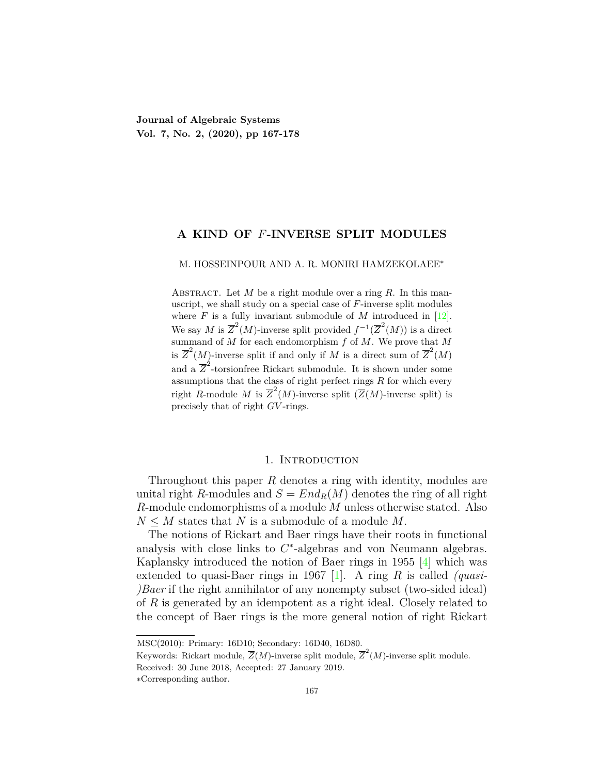**Journal of Algebraic Systems Vol. 7, No. 2, (2020), pp 167-178**

### **A KIND OF** *F***-INVERSE SPLIT MODULES**

M. HOSSEINPOUR AND A. R. MONIRI HAMZEKOLAEE*∗*

ABSTRACT. Let *M* be a right module over a ring *R*. In this manuscript, we shall study on a special case of *F*-inverse split modules where  $F$  is a fully invariant submodule of  $M$  introduced in [[12\]](#page-11-0). We say *M* is  $\overline{Z}^2(M)$ -inverse split provided  $f^{-1}(\overline{Z}^2(M))$  is a direct summand of  $M$  for each endomorphism  $f$  of  $M$ . We prove that  $M$ is  $\overline{Z}^2(M)$ -inverse split if and only if *M* is a direct sum of  $\overline{Z}^2(M)$ and a  $\overline{Z}^2$ -torsionfree Rickart submodule. It is shown under some assumptions that the class of right perfect rings *R* for which every right *R*-module *M* is  $\overline{Z}^2(M)$ -inverse split  $(\overline{Z}(M))$ -inverse split) is precisely that of right *GV* -rings.

#### 1. Introduction

Throughout this paper *R* denotes a ring with identity, modules are unital right *R*-modules and  $S = End_R(M)$  denotes the ring of all right *R*-module endomorphisms of a module *M* unless otherwise stated. Also  $N \leq M$  states that *N* is a submodule of a module *M*.

The notions of Rickart and Baer rings have their roots in functional analysis with close links to *C ∗* -algebras and von Neumann algebras. Kaplansky introduced the notion of Baer rings in 1955 [[4\]](#page-11-1) which was extended to quasi-Baer rings in 1967 [[1](#page-11-2)]. A ring *R* is called *(quasi- )Baer* if the right annihilator of any nonempty subset (two-sided ideal) of *R* is generated by an idempotent as a right ideal. Closely related to the concept of Baer rings is the more general notion of right Rickart

MSC(2010): Primary: 16D10; Secondary: 16D40, 16D80.

Keywords: Rickart module,  $\overline{Z}(M)$ -inverse split module,  $\overline{Z}^2(M)$ -inverse split module.

Received: 30 June 2018, Accepted: 27 January 2019.

*<sup>∗</sup>*Corresponding author.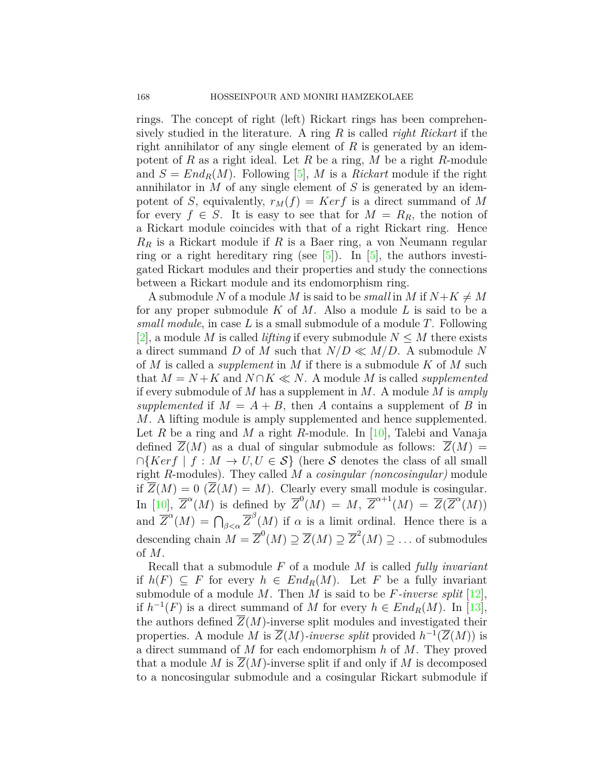rings. The concept of right (left) Rickart rings has been comprehensively studied in the literature. A ring *R* is called *right Rickart* if the right annihilator of any single element of *R* is generated by an idempotent of *R* as a right ideal. Let *R* be a ring, *M* be a right *R*-module and  $S = End_R(M)$ . Following [[5](#page-11-3)], M is a *Rickart* module if the right annihilator in *M* of any single element of *S* is generated by an idempotent of *S*, equivalently,  $r_M(f) = Ker f$  is a direct summand of M for every  $f \in S$ . It is easy to see that for  $M = R_R$ , the notion of a Rickart module coincides with that of a right Rickart ring. Hence *R<sup>R</sup>* is a Rickart module if *R* is a Baer ring, a von Neumann regular ring or a right hereditary ring (see  $[5]$  $[5]$  $[5]$ ). In  $[5]$ , the authors investigated Rickart modules and their properties and study the connections between a Rickart module and its endomorphism ring.

A submodule N of a module M is said to be *small* in M if  $N+K \neq M$ for any proper submodule *K* of *M*. Also a module *L* is said to be a *small module*, in case *L* is a small submodule of a module *T*. Following [[2\]](#page-11-4), a module *M* is called *lifting* if every submodule  $N \leq M$  there exists a direct summand *D* of *M* such that  $N/D \ll M/D$ . A submodule *N* of *M* is called a *supplement* in *M* if there is a submodule *K* of *M* such that  $M = N + K$  and  $N \cap K \ll N$ . A module M is called *supplemented* if every submodule of *M* has a supplement in *M*. A module *M* is *amply* supplemented if  $M = A + B$ , then *A* contains a supplement of *B* in *M*. A lifting module is amply supplemented and hence supplemented. Let *R* be a ring and *M* a right *R*-module. In [\[10\]](#page-11-5), Talebi and Vanaja defined  $\overline{Z}(M)$  as a dual of singular submodule as follows:  $\overline{Z}(M) =$  $∩{Kerf | f : M → U, U ∈ S}$  (here *S* denotes the class of all small right *R*-modules). They called *M* a *cosingular (noncosingular)* module if  $\overline{Z}(M) = 0$  ( $\overline{Z}(M) = M$ ). Clearly every small module is cosingular. In [[10\]](#page-11-5),  $\overline{Z}^{\alpha}(M)$  is defined by  $\overline{Z}^0(M) = M$ ,  $\overline{Z}^{\alpha+1}(M) = \overline{Z}(\overline{Z}^{\alpha}(M))$ and  $\overline{Z}^{\alpha}(M) = \bigcap_{\beta < \alpha} \overline{Z}^{\beta}(M)$  if  $\alpha$  is a limit ordinal. Hence there is a descending chain  $M = \overline{Z}^0(M) \supseteq \overline{Z}(M) \supseteq \overline{Z}^2(M) \supseteq \ldots$  of submodules of *M*.

Recall that a submodule *F* of a module *M* is called *fully invariant* if *h*(*F*) *⊆ F* for every *h ∈ EndR*(*M*). Let *F* be a fully invariant submodule of a module *M*. Then *M* is said to be *F-inverse split* [[12\]](#page-11-0), if $h^{-1}(F)$  is a direct summand of *M* for every  $h \in End_R(M)$ . In [[13\]](#page-11-6), the authors defined  $\overline{Z}(M)$ -inverse split modules and investigated their properties. A module *M* is  $\overline{Z}(M)$ -*inverse split* provided  $h^{-1}(\overline{Z}(M))$  is a direct summand of *M* for each endomorphism *h* of *M*. They proved that a module *M* is  $Z(M)$ -inverse split if and only if *M* is decomposed to a noncosingular submodule and a cosingular Rickart submodule if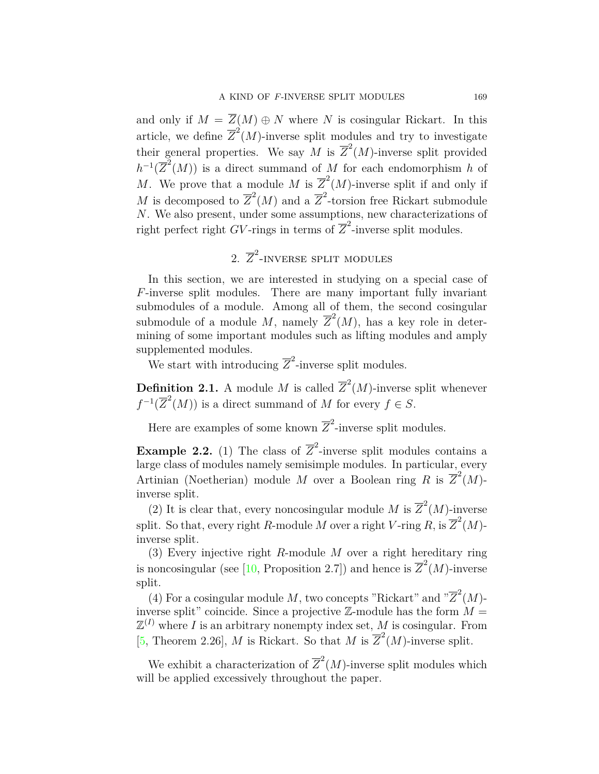and only if  $M = \overline{Z}(M) \oplus N$  where *N* is cosingular Rickart. In this article, we define  $\overline{Z}^2(M)$ -inverse split modules and try to investigate their general properties. We say *M* is  $\overline{Z}^2(M)$ -inverse split provided  $h^{-1}(\overline{Z}^2(M))$  is a direct summand of *M* for each endomorphism *h* of *M*. We prove that a module *M* is  $\overline{Z}^2(M)$ -inverse split if and only if *M* is decomposed to  $\overline{Z}^2(M)$  and a  $\overline{Z}^2$ -torsion free Rickart submodule *N*. We also present, under some assumptions, new characterizations of right perfect right *GV*-rings in terms of  $\overline{Z}^2$ -inverse split modules.

# 2.  $\overline{Z}^2$ -inverse split modules

In this section, we are interested in studying on a special case of *F*-inverse split modules. There are many important fully invariant submodules of a module. Among all of them, the second cosingular submodule of a module M, namely  $\overline{Z}^2(M)$ , has a key role in determining of some important modules such as lifting modules and amply supplemented modules.

We start with introducing  $\overline{Z}^2$ -inverse split modules.

**Definition 2.1.** A module *M* is called  $\overline{Z}^2(M)$ -inverse split whenever  $f^{-1}(\overline{Z}^2(M))$  is a direct summand of *M* for every  $f \in S$ .

Here are examples of some known  $\overline{Z}^2$ -inverse split modules.

**Example 2.2.** (1) The class of  $\overline{Z}^2$ -inverse split modules contains a large class of modules namely semisimple modules. In particular, every Artinian (Noetherian) module *M* over a Boolean ring *R* is  $\overline{Z}^2(M)$ inverse split.

(2) It is clear that, every noncosingular module *M* is  $\overline{Z}^2(M)$ -inverse split. So that, every right *R*-module *M* over a right *V*-ring *R*, is  $\overline{Z}^2(M)$ inverse split.

(3) Every injective right *R*-module *M* over a right hereditary ring isnoncosingular (see [[10,](#page-11-5) Proposition 2.7]) and hence is  $\overline{Z}^2(M)$ -inverse split.

(4) For a cosingular module M, two concepts "Rickart" and " $\overline{Z}^2(M)$ inverse split" coincide. Since a projective  $\mathbb{Z}$ -module has the form  $M =$  $\mathbb{Z}^{(I)}$  where *I* is an arbitrary nonempty index set, *M* is cosingular. From [[5,](#page-11-3) Theorem 2.26], *M* is Rickart. So that *M* is  $\overline{Z}^2(M)$ -inverse split.

We exhibit a characterization of  $\overline{Z}^2(M)$ -inverse split modules which will be applied excessively throughout the paper.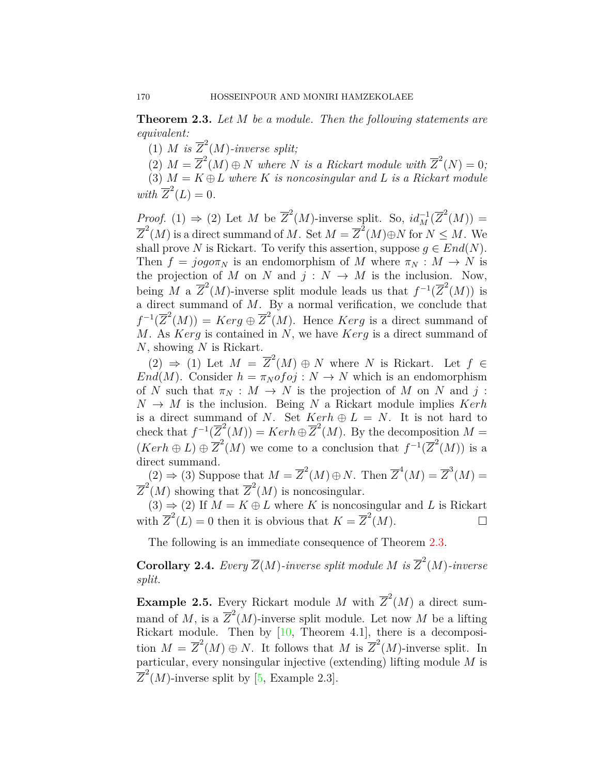<span id="page-3-0"></span>**Theorem 2.3.** *Let M be a module. Then the following statements are equivalent:*

(1) *M* is  $\overline{Z}^2(M)$ *-inverse split;* 

(2)  $M = \overline{Z}^2(M) \oplus N$  where *N* is a Rickart module with  $\overline{Z}^2(N) = 0$ ;

(3)  $M = K \oplus L$  where K *is noncosingular and* L *is a Rickart module*  $with \ \overline{Z}^2(L) = 0.$ 

*Proof.* (1)  $\Rightarrow$  (2) Let *M* be  $\overline{Z}^2(M)$ -inverse split. So,  $id_M^{-1}(\overline{Z}^2(M))$  =  $\overline{Z}^2(M)$  is a direct summand of *M*. Set  $M = \overline{Z}^2(M) \oplus N$  for  $N \leq M$ . We shall prove *N* is Rickart. To verify this assertion, suppose  $q \in End(N)$ . Then  $f = jog\sigma\pi_N$  is an endomorphism of *M* where  $\pi_N : M \to N$  is the projection of *M* on *N* and  $j: N \to M$  is the inclusion. Now, being *M* a  $\overline{Z}^2(M)$ -inverse split module leads us that  $f^{-1}(\overline{Z}^2(M))$  is a direct summand of *M*. By a normal verification, we conclude that  $f^{-1}(\overline{Z}^2(M)) = Ker g \oplus \overline{Z}^2(M)$ . Hence *Kerg* is a direct summand of *M*. As *Kerg* is contained in *N*, we have *Kerg* is a direct summand of *N*, showing *N* is Rickart.

 $(2) \Rightarrow (1)$  Let  $M = \overline{Z}^2(M) \oplus N$  where *N* is Rickart. Let  $f \in$ *End*(*M*). Consider  $h = \pi_N \circ f \circ j : N \to N$  which is an endomorphism of *N* such that  $\pi_N : M \to N$  is the projection of *M* on *N* and *j* :  $N \rightarrow M$  is the inclusion. Being *N* a Rickart module implies *Kerh* is a direct summand of *N*. Set  $Kerh \oplus L = N$ . It is not hard to check that  $f^{-1}(\overline{Z}^2(M)) = Kerh \oplus \overline{Z}^2(M)$ . By the decomposition  $M =$  $(Ker h \oplus L) \oplus \overline{Z}^2(M)$  we come to a conclusion that  $f^{-1}(\overline{Z}^2(M))$  is a direct summand.

 $(2) \Rightarrow (3)$  Suppose that  $M = \overline{Z}^2(M) \oplus N$ . Then  $\overline{Z}^4(M) = \overline{Z}^3(M) =$  $\overline{Z}^2(M)$  showing that  $\overline{Z}^2(M)$  is noncosingular.

 $(3) \Rightarrow (2)$  If  $M = K \oplus L$  where K is noncosingular and L is Rickart with  $\overline{Z}^2(L) = 0$  then it is obvious that  $K = \overline{Z}^2(M)$ .

The following is an immediate consequence of Theorem [2.3.](#page-3-0)

**Corollary 2.4.** *Every*  $\overline{Z}(M)$ *-inverse split module M is*  $\overline{Z}^2(M)$ *-inverse split.*

**Example 2.5.** Every Rickart module *M* with  $\overline{Z}^2(M)$  a direct summand of M, is a  $\overline{Z}^2(M)$ -inverse split module. Let now M be a lifting Rickart module. Then by [\[10,](#page-11-5) Theorem 4.1], there is a decomposition  $M = \overline{Z}^2(M) \oplus N$ . It follows that M is  $\overline{Z}^2(M)$ -inverse split. In particular, every nonsingular injective (extending) lifting module *M* is  $\overline{Z}^2(M)$ -inverse split by [\[5,](#page-11-3) Example 2.3].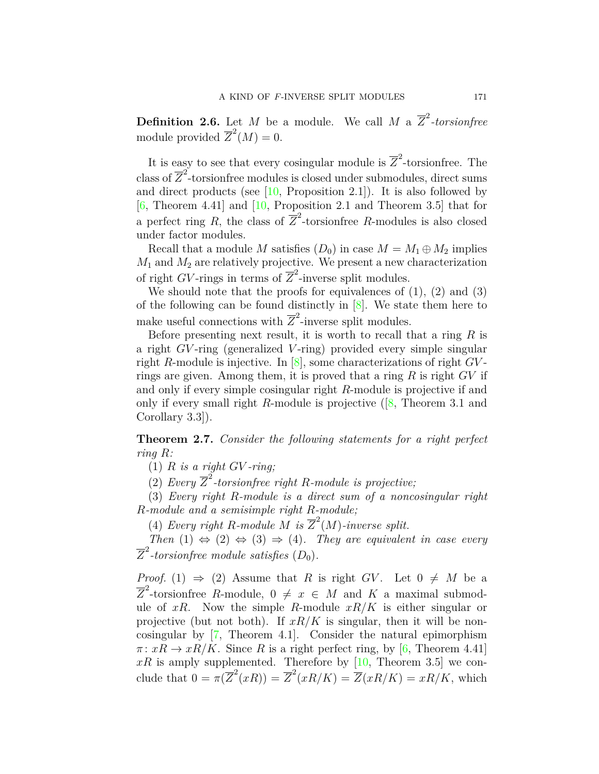**Definition 2.6.** Let *M* be a module. We call *M* a  $\overline{Z}^2$ -torsionfree module provided  $\overline{Z}^2(M) = 0$ .

It is easy to see that every cosingular module is  $\overline{Z}^2$ -torsionfree. The class of  $\overline{Z}^2$ -torsionfree modules is closed under submodules, direct sums and direct products (see  $[10,$  Proposition 2.1]). It is also followed by  $[6,$  $[6,$  Theorem 4.41 and  $[10,$  $[10,$  Proposition 2.1 and Theorem 3.5 that for a perfect ring *R*, the class of  $\overline{Z}^2$ -torsionfree *R*-modules is also closed under factor modules.

Recall that a module *M* satisfies  $(D_0)$  in case  $M = M_1 \oplus M_2$  implies  $M_1$  and  $M_2$  are relatively projective. We present a new characterization of right *GV*-rings in terms of  $\overline{Z}^2$ -inverse split modules.

We should note that the proofs for equivalences of  $(1)$ ,  $(2)$  and  $(3)$ of the following can be found distinctly in  $[8]$  $[8]$ . We state them here to make useful connections with  $\overline{Z}^2$ -inverse split modules.

Before presenting next result, it is worth to recall that a ring *R* is a right *GV* -ring (generalized *V* -ring) provided every simple singular right *R*-module is injective. In [[8](#page-11-8)], some characterizations of right *GV* rings are given. Among them, it is proved that a ring *R* is right *GV* if and only if every simple cosingular right *R*-module is projective if and only if every small right *R*-module is projective ([[8,](#page-11-8) Theorem 3.1 and Corollary 3.3]).

<span id="page-4-0"></span>**Theorem 2.7.** *Consider the following statements for a right perfect ring R:*

(1)  $R$  *is a right GV-ring;* 

(2) *Every*  $\overline{Z}^2$ -torsionfree right *R*-module is projective;

(3) *Every right R-module is a direct sum of a noncosingular right R-module and a semisimple right R-module;*

(4) *Every right R*-module *M* is  $\overline{Z}^2(M)$ -inverse split.

*Then*  $(1) \Leftrightarrow (2) \Leftrightarrow (3) \Rightarrow (4)$ *. They are equivalent in case every*  $\overline{Z}^2$ -torsionfree module satisfies  $(D_0)$ .

*Proof.* (1)  $\Rightarrow$  (2) Assume that *R* is right *GV*. Let  $0 \neq M$  be a  $\overline{Z}^2$ -torsionfree *R*-module,  $0 \neq x \in M$  and *K* a maximal submodule of  $xR$ . Now the simple R-module  $xR/K$  is either singular or projective (but not both). If  $xR/K$  is singular, then it will be noncosingular by [\[7,](#page-11-9) Theorem 4.1]. Consider the natural epimorphism  $\pi: xR \to xR/K$ . Since *R* is a right perfect ring, by [\[6](#page-11-7), Theorem 4.41]  $xR$ is amply supplemented. Therefore by [[10,](#page-11-5) Theorem 3.5] we conclude that  $0 = \pi(\overline{Z}^2(xR)) = \overline{Z}^2(xR/K) = \overline{Z}(xR/K) = xR/K$ , which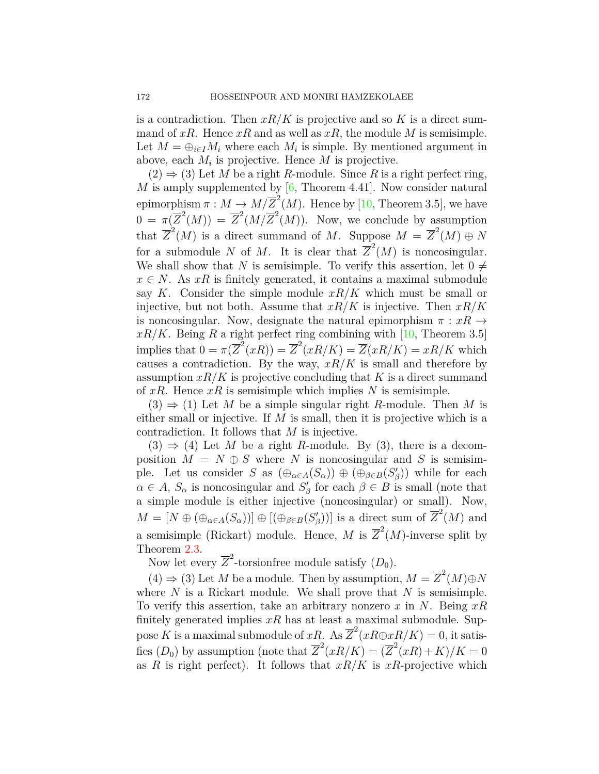is a contradiction. Then  $xR/K$  is projective and so K is a direct summand of  $xR$ . Hence  $xR$  and as well as  $xR$ , the module M is semisimple. Let  $M = \bigoplus_{i \in I} M_i$  where each  $M_i$  is simple. By mentioned argument in above, each *M<sup>i</sup>* is projective. Hence *M* is projective.

 $(2) \Rightarrow (3)$  Let *M* be a right *R*-module. Since *R* is a right perfect ring, *M* is amply supplemented by  $[6,$  Theorem 4.41. Now consider natural epimorphism  $\pi : M \to M/\overline{Z}^2(M)$ . Hence by [[10,](#page-11-5) Theorem 3.5], we have  $0 = \pi(\overline{Z}^2(M)) = \overline{Z}^2(M/\overline{Z}^2(M)).$  Now, we conclude by assumption that  $\overline{Z}^2(M)$  is a direct summand of *M*. Suppose  $M = \overline{Z}^2(M) \oplus N$ for a submodule *N* of *M*. It is clear that  $\overline{Z}^2(M)$  is noncosingular. We shall show that *N* is semisimple. To verify this assertion, let  $0 \neq$  $x \in N$ . As *xR* is finitely generated, it contains a maximal submodule say *K*. Consider the simple module *xR/K* which must be small or injective, but not both. Assume that *xR/K* is injective. Then *xR/K* is noncosingular. Now, designate the natural epimorphism  $\pi : xR \rightarrow$  $xR/K$ .Being R a right perfect ring combining with [[10,](#page-11-5) Theorem 3.5] implies that  $0 = \pi(\overline{Z}^2(xR)) = \overline{Z}^2(xR/K) = \overline{Z}(xR/K) = xR/K$  which causes a contradiction. By the way,  $xR/K$  is small and therefore by assumption  $xR/K$  is projective concluding that K is a direct summand of *xR*. Hence *xR* is semisimple which implies *N* is semisimple.

 $(3) \Rightarrow (1)$  Let *M* be a simple singular right *R*-module. Then *M* is either small or injective. If *M* is small, then it is projective which is a contradiction. It follows that *M* is injective.

 $(3) \Rightarrow (4)$  Let M be a right R-module. By  $(3)$ , there is a decomposition  $M = N \oplus S$  where *N* is noncosingular and *S* is semisimple. Let us consider *S* as  $(\bigoplus_{\alpha \in A} (S_\alpha)) \oplus (\bigoplus_{\beta \in B} (S'_\beta))$  while for each  $\alpha \in A$ ,  $S_{\alpha}$  is noncosingular and  $S'_{\beta}$  for each  $\beta \in B$  is small (note that a simple module is either injective (noncosingular) or small). Now,  $M = [N \oplus (\bigoplus_{\alpha \in A} (S_{\alpha}))] \oplus [(\bigoplus_{\beta \in B} (S'_{\beta}))]$  is a direct sum of  $\overline{Z}^{2}(M)$  and a semisimple (Rickart) module. Hence, M is  $\overline{Z}^2(M)$ -inverse split by Theorem [2.3.](#page-3-0)

Now let every  $\overline{Z}^2$ -torsionfree module satisfy  $(D_0)$ .

 $(4)$  ⇒ (3) Let *M* be a module. Then by assumption,  $M = \overline{Z}^2(M) \oplus N$ where *N* is a Rickart module. We shall prove that *N* is semisimple. To verify this assertion, take an arbitrary nonzero *x* in *N*. Being *xR* finitely generated implies  $xR$  has at least a maximal submodule. Suppose *K* is a maximal submodule of *xR*. As  $\overline{Z}^2(xR\oplus xR/K) = 0$ , it satisfies  $(D_0)$  by assumption (note that  $\overline{Z}^2(xR/K) = (\overline{Z}^2(xR) + K)/K = 0$ as *R* is right perfect). It follows that  $xR/K$  is  $xR$ -projective which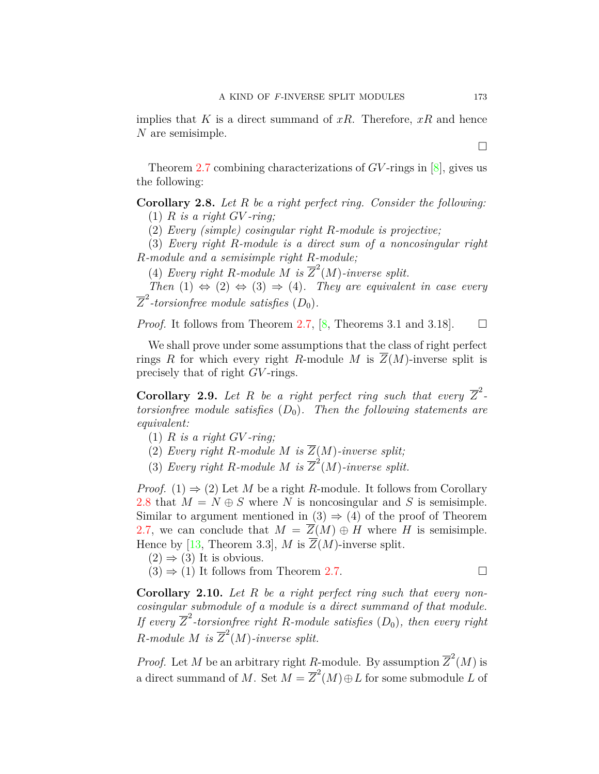implies that *K* is a direct summand of *xR*. Therefore, *xR* and hence *N* are semisimple.

Theorem [2.7](#page-4-0) combining characterizations of *GV* -rings in [\[8](#page-11-8)], gives us the following:

<span id="page-6-0"></span>**Corollary 2.8.** *Let R be a right perfect ring. Consider the following:*  $(1)$  *R is a right GV-ring*;

(2) *Every (simple) cosingular right R-module is projective;*

(3) *Every right R-module is a direct sum of a noncosingular right R-module and a semisimple right R-module;*

(4) *Every right R*-module *M* is  $\overline{Z}^2(M)$ -inverse split.

*Then*  $(1) \Leftrightarrow (2) \Leftrightarrow (3) \Rightarrow (4)$ *. They are equivalent in case every*  $\overline{Z}^2$ -torsionfree module satisfies  $(D_0)$ .

*Proof.* It follows from Theorem [2.7](#page-4-0), [[8,](#page-11-8) Theorems 3.1 and 3.18].  $\square$ 

We shall prove under some assumptions that the class of right perfect rings *R* for which every right *R*-module *M* is  $\overline{Z}(M)$ -inverse split is precisely that of right *GV* -rings.

**Corollary 2.9.** Let R be a right perfect ring such that every  $\overline{Z}^2$ . *torsionfree module satisfies*  $(D_0)$ *. Then the following statements are equivalent:*

- $(1)$  *R is a right GV-ring*;
- (2) *Every right R-module M is*  $\overline{Z}(M)$ *-inverse split;*
- (3) *Every right R-module M is*  $\overline{Z}^2(M)$ *-inverse split.*

*Proof.* (1)  $\Rightarrow$  (2) Let *M* be a right *R*-module. It follows from Corollary [2.8](#page-6-0) that  $M = N \oplus S$  where *N* is noncosingular and *S* is semisimple. Similar to argument mentioned in  $(3) \Rightarrow (4)$  of the proof of Theorem [2.7](#page-4-0), we can conclude that  $M = \overline{Z}(M) \oplus H$  where *H* is semisimple. Hence by [[13,](#page-11-6) Theorem 3.3], *M* is  $\overline{Z}(M)$ -inverse split.

- $(2) \Rightarrow (3)$  It is obvious.
- $(3) \Rightarrow (1)$  It follows from Theorem [2.7](#page-4-0).

**Corollary 2.10.** *Let R be a right perfect ring such that every noncosingular submodule of a module is a direct summand of that module. If every*  $\overline{Z}^2$ -torsionfree right *R*-module satisfies  $(D_0)$ , then every right *R*<sup>*-module M is*  $\overline{Z}^2(M)$ *-inverse split.*</sup>

*Proof.* Let *M* be an arbitrary right *R*-module. By assumption  $\overline{Z}^2(M)$  is a direct summand of *M*. Set  $M = \overline{Z}^2(M) \oplus L$  for some submodule *L* of

□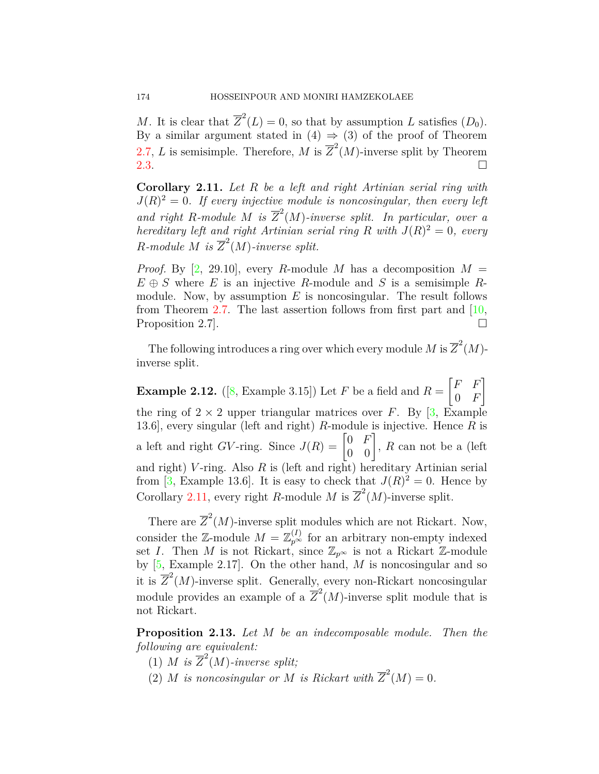*M*. It is clear that  $\overline{Z}^2(L) = 0$ , so that by assumption *L* satisfies  $(D_0)$ . By a similar argument stated in  $(4) \Rightarrow (3)$  of the proof of Theorem [2.7](#page-4-0), *L* is semisimple. Therefore, *M* is  $\overline{Z}^2(M)$ -inverse split by Theorem [2.3](#page-3-0).  $\Box$ 

<span id="page-7-0"></span>**Corollary 2.11.** *Let R be a left and right Artinian serial ring with*  $J(R)^2 = 0$ . If every injective module is noncosingular, then every left and right R-module M is  $\overline{Z}^2(M)$ -inverse split. In particular, over a *hereditary left and right Artinian serial ring*  $R$  *with*  $J(R)^2 = 0$ *, every R*<sup>*-module M is*  $\overline{Z}^2(M)$ *-inverse split.*</sup>

*Proof.* By [\[2](#page-11-4), 29.10], every *R*-module *M* has a decomposition  $M =$  $E \oplus S$  where *E* is an injective *R*-module and *S* is a semisimple *R*module. Now, by assumption *E* is noncosingular. The result follows from Theorem [2.7.](#page-4-0) The last assertion follows from first part and  $[10,$ Proposition 2.7].  $\Box$ 

The following introduces a ring over which every module *M* is  $\overline{Z}^2(M)$ inverse split.

**Example 2.12.** ([[8](#page-11-8), Example 3.15]) Let *F* be a field and  $R = \begin{bmatrix} F & F \\ 0 & F \end{bmatrix}$ 0 *F* ] the ring of  $2 \times 2$  upper triangular matrices over *F*. By [\[3](#page-11-10), Example 13.6], every singular (left and right) *R*-module is injective. Hence *R* is a left and right *GV*-ring. Since  $J(R) = \begin{bmatrix} 0 & F \\ 0 & 0 \end{bmatrix}$ , *R* can not be a (left and right) *V* -ring. Also *R* is (left and right) hereditary Artinian serial from [[3](#page-11-10), Example 13.6]. It is easy to check that  $J(R)^2 = 0$ . Hence by Corollary [2.11](#page-7-0), every right *R*-module *M* is  $\overline{Z}^2(M)$ -inverse split.

There are  $\overline{Z}^2(M)$ -inverse split modules which are not Rickart. Now, consider the  $\mathbb{Z}$ -module  $M = \mathbb{Z}_{p^{\infty}}^{(I)}$  for an arbitrary non-empty indexed set *I*. Then *M* is not Rickart, since  $\mathbb{Z}_{p^{\infty}}$  is not a Rickart  $\mathbb{Z}$ -module by [\[5](#page-11-3), Example 2.17]. On the other hand, *M* is noncosingular and so it is  $\overline{Z}^2(M)$ -inverse split. Generally, every non-Rickart noncosingular module provides an example of a  $\overline{Z}^2(M)$ -inverse split module that is not Rickart.

<span id="page-7-1"></span>**Proposition 2.13.** *Let M be an indecomposable module. Then the following are equivalent:*

- (1) *M* is  $\overline{Z}^2(M)$ *-inverse split;*
- (2) *M is noncosingular or M is Rickart with*  $\overline{Z}^2(M) = 0$ *.*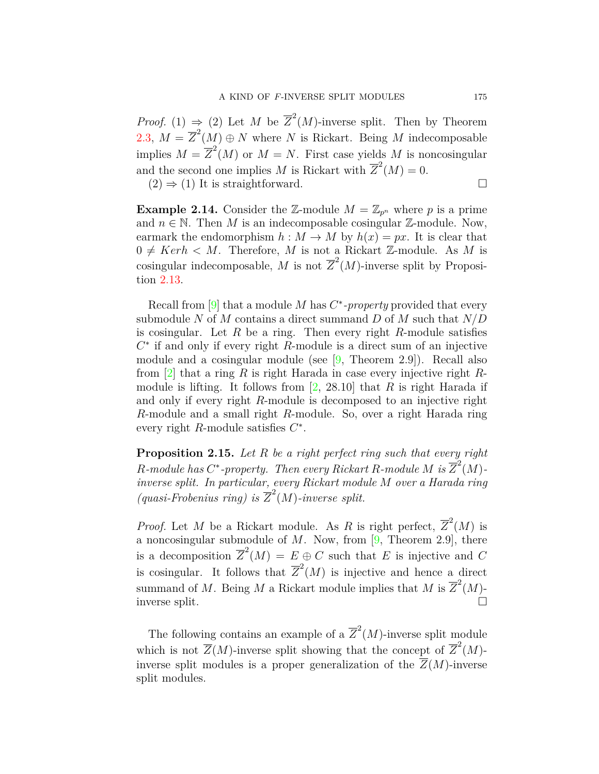*Proof.* (1)  $\Rightarrow$  (2) Let *M* be  $\overline{Z}^2(M)$ -inverse split. Then by Theorem [2.3](#page-3-0),  $M = \overline{Z}^2(M) \oplus N$  where *N* is Rickart. Being *M* indecomposable implies  $M = \overline{Z}^2(M)$  or  $M = N$ . First case yields M is noncosingular and the second one implies *M* is Rickart with  $\overline{Z}^2(M) = 0$ .

 $(2) \Rightarrow (1)$  It is straightforward. □

**Example 2.14.** Consider the Z-module  $M = \mathbb{Z}_{p^n}$  where p is a prime and  $n \in \mathbb{N}$ . Then M is an indecomposable cosingular  $\mathbb{Z}$ -module. Now, earmark the endomorphism  $h : M \to M$  by  $h(x) = px$ . It is clear that  $0 \neq \text{Ker } h \lt M$ . Therefore, M is not a Rickart Z-module. As M is cosingular indecomposable, M is not  $\overline{Z}^2(M)$ -inverse split by Proposition [2.13](#page-7-1).

Recall from [[9\]](#page-11-11) that a module *M* has *C ∗ -property* provided that every submodule *N* of *M* contains a direct summand *D* of *M* such that *N/D* is cosingular. Let *R* be a ring. Then every right *R*-module satisfies *C ∗* if and only if every right *R*-module is a direct sum of an injective module and a cosingular module (see [\[9,](#page-11-11) Theorem 2.9]). Recall also from [[2\]](#page-11-4) that a ring *R* is right Harada in case every injective right *R*module is lifting. It follows from [\[2](#page-11-4), 28.10] that *R* is right Harada if and only if every right *R*-module is decomposed to an injective right *R*-module and a small right *R*-module. So, over a right Harada ring every right *R*-module satisfies *C ∗* .

**Proposition 2.15.** *Let R be a right perfect ring such that every right R*-module has  $C^*$ -property. Then every Rickart *R*-module M is  $\overline{Z}^2(M)$ *inverse split. In particular, every Rickart module M over a Harada ring* (*quasi-Frobenius ring*) is  $\overline{Z}^2(M)$ *-inverse split.* 

*Proof.* Let *M* be a Rickart module. As *R* is right perfect,  $\overline{Z}^2(M)$  is a noncosingular submodule of *M*. Now, from [\[9](#page-11-11), Theorem 2.9], there is a decomposition  $\overline{Z}^2(M) = E \oplus C$  such that *E* is injective and *C* is cosingular. It follows that  $\overline{Z}^2(M)$  is injective and hence a direct summand of *M*. Being *M* a Rickart module implies that *M* is  $\overline{Z}^2(M)$ inverse split.

The following contains an example of a  $\overline{Z}^2(M)$ -inverse split module which is not  $\overline{Z}(M)$ -inverse split showing that the concept of  $\overline{Z}^2(M)$ inverse split modules is a proper generalization of the  $\overline{Z}(M)$ -inverse split modules.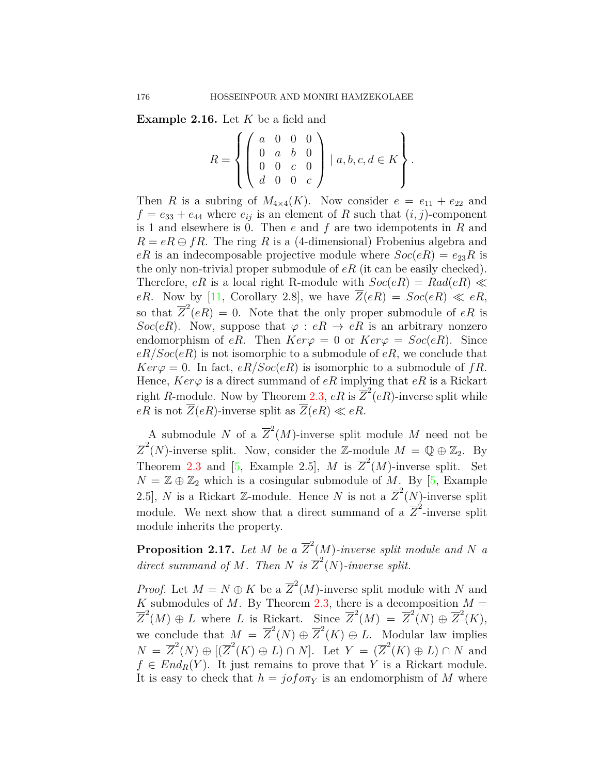**Example 2.16.** Let *K* be a field and

$$
R = \left\{ \left( \begin{array}{cccc} a & 0 & 0 & 0 \\ 0 & a & b & 0 \\ 0 & 0 & c & 0 \\ d & 0 & 0 & c \end{array} \right) \mid a, b, c, d \in K \right\}.
$$

Then *R* is a subring of  $M_{4\times4}(K)$ . Now consider  $e = e_{11} + e_{22}$  and  $f = e_{33} + e_{44}$  where  $e_{ij}$  is an element of *R* such that  $(i, j)$ -component is 1 and elsewhere is 0. Then *e* and *f* are two idempotents in *R* and  $R = eR \oplus fR$ . The ring *R* is a (4-dimensional) Frobenius algebra and  $eR$  is an indecomposable projective module where  $Soc(eR) = e_{23}R$  is the only non-trivial proper submodule of *eR* (it can be easily checked). Therefore, *eR* is a local right R-module with  $Soc(eR) = Rad(eR) \ll$ *eR.* Now by [\[11,](#page-11-12) Corollary 2.8], we have  $Z(eR) = Soc(eR) \ll eR$ , so that  $\overline{Z}^2(eR) = 0$ . Note that the only proper submodule of  $eR$  is *Soc*(*eR*). Now, suppose that  $\varphi : eR \to eR$  is an arbitrary nonzero endomorphism of *eR*. Then  $Ker\varphi = 0$  or  $Ker\varphi = Soc(eR)$ . Since *eR/Soc*(*eR*) is not isomorphic to a submodule of *eR*, we conclude that  $Ker\varphi = 0$ . In fact,  $eR/Soc(eR)$  is isomorphic to a submodule of *fR*. Hence,  $Ker\varphi$  is a direct summand of  $eR$  implying that  $eR$  is a Rickart right *R*-module. Now by Theorem [2.3](#page-3-0),  $eR$  is  $\overline{Z}^2(eR)$ -inverse split while  $eR$  is not  $\overline{Z}(eR)$ -inverse split as  $\overline{Z}(eR) \ll eR$ .

A submodule *N* of a  $\overline{Z}^2(M)$ -inverse split module *M* need not be  $\overline{Z}^2(N)$ -inverse split. Now, consider the Z-module  $M = \mathbb{Q} \oplus \mathbb{Z}_2$ . By Theorem [2.3](#page-3-0) and [[5](#page-11-3), Example 2.5], *M* is  $\overline{Z}^2(M)$ -inverse split. Set  $N = \mathbb{Z} \oplus \mathbb{Z}_2$  which is a cosingular submodule of *M*. By [[5,](#page-11-3) Example 2.5], *N* is a Rickart Z-module. Hence *N* is not a  $\overline{Z}^2(N)$ -inverse split module. We next show that a direct summand of a  $\overline{Z}^2$ -inverse split module inherits the property.

**Proposition 2.17.** Let M be a  $\overline{Z}^2(M)$ -inverse split module and N a *direct summand of M. Then N is*  $\overline{Z}^2(N)$ *-inverse split.* 

*Proof.* Let  $M = N \oplus K$  be a  $\overline{Z}^2(M)$ -inverse split module with *N* and *K* submodules of *M*. By Theorem [2.3](#page-3-0), there is a decomposition  $M =$  $\overline{Z}^2(M) \oplus L$  where *L* is Rickart. Since  $\overline{Z}^2(M) = \overline{Z}^2(N) \oplus \overline{Z}^2(K)$ , we conclude that  $M = \overline{Z}^2(N) \oplus \overline{Z}^2(K) \oplus L$ . Modular law implies  $N = \overline{Z}^2(N) \oplus [(\overline{Z}^2(K) \oplus L) \cap N]$ . Let  $Y = (\overline{Z}^2(K) \oplus L) \cap N$  and  $f \in End_R(Y)$ . It just remains to prove that *Y* is a Rickart module. It is easy to check that  $h = j \circ f \circ \pi_Y$  is an endomorphism of M where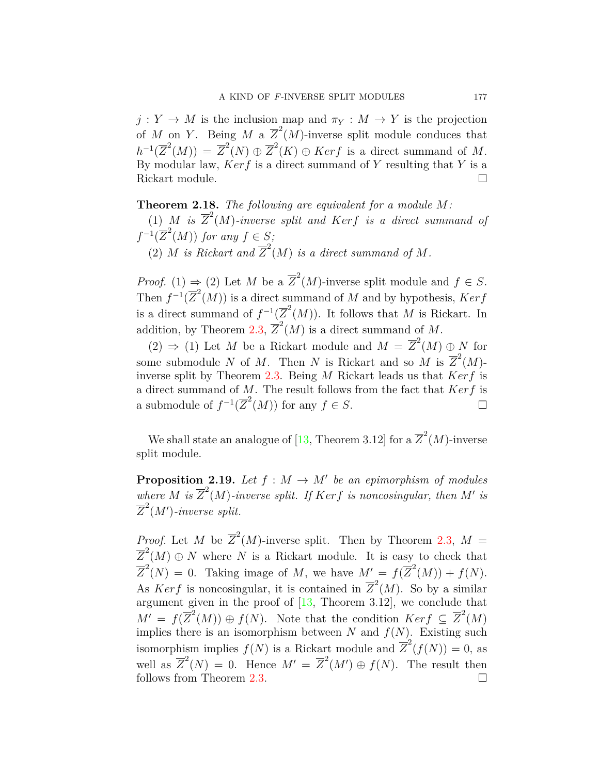$j: Y \to M$  is the inclusion map and  $\pi_Y: M \to Y$  is the projection of *M* on *Y*. Being *M* a  $\overline{Z}^2(M)$ -inverse split module conduces that  $h^{-1}(\overline{Z}^2(M)) = \overline{Z}^2(N) \oplus \overline{Z}^2(K) \oplus Ker f$  is a direct summand of *M*. By modular law, *Kerf* is a direct summand of *Y* resulting that *Y* is a Rickart module. □

**Theorem 2.18.** The following are equivalent for a module 
$$
M
$$
:

(1) *M is*  $\overline{Z}^2(M)$ *-inverse split and Kerf is a direct summand of*  $f^{-1}(\overline{Z}^2(M))$  *for any*  $f \in S$ *;* 

(2) *M is Rickart and*  $\overline{Z}^2(M)$  *is a direct summand of M.* 

*Proof.* (1)  $\Rightarrow$  (2) Let *M* be a  $\overline{Z}^2(M)$ -inverse split module and  $f \in S$ . Then  $f^{-1}(\overline{Z}^2(M))$  is a direct summand of *M* and by hypothesis, *Kerf* is a direct summand of  $f^{-1}(\overline{Z}^2(M))$ . It follows that *M* is Rickart. In addition, by Theorem [2.3,](#page-3-0)  $\overline{Z}^2(M)$  is a direct summand of M.

(2)  $\Rightarrow$  (1) Let *M* be a Rickart module and *M* =  $\overline{Z}^2(M) \oplus N$  for some submodule *N* of *M*. Then *N* is Rickart and so *M* is  $\overline{Z}^2(M)$ inverse split by Theorem [2.3.](#page-3-0) Being *M* Rickart leads us that *Kerf* is a direct summand of *M*. The result follows from the fact that *Kerf* is a submodule of  $f^{-1}(\overline{Z}^2(M))$  for any  $f \in S$ . □

We shall state an analogue of [\[13,](#page-11-6) Theorem 3.12] for a  $\overline{Z}^2(M)$ -inverse split module.

**Proposition 2.19.** *Let*  $f : M \to M'$  *be an epimorphism of modules* where *M* is  $\overline{Z}^2(M)$ -inverse split. If  $Kerf$  is noncosingular, then *M'* is  $\overline{Z}^2(M')$ *-inverse split.* 

*Proof.* Let *M* be  $\overline{Z}^2(M)$ -inverse split. Then by Theorem [2.3,](#page-3-0)  $M =$  $\overline{Z}^2(M) \oplus N$  where *N* is a Rickart module. It is easy to check that  $\overline{Z}^2(N) = 0$ . Taking image of *M*, we have  $M' = f(\overline{Z}^2(M)) + f(N)$ . As *Kerf* is noncosingular, it is contained in  $\overline{Z}^2(M)$ . So by a similar argument given in the proof of  $[13,$  $[13,$  Theorem 3.12], we conclude that  $M' = f(\overline{Z}^2(M)) \oplus f(N)$ . Note that the condition  $Ker f \subseteq \overline{Z}^2(M)$ implies there is an isomorphism between *N* and  $f(N)$ . Existing such isomorphism implies  $f(N)$  is a Rickart module and  $\overline{Z}^2(f(N)) = 0$ , as well as  $\overline{Z}^2(N) = 0$ . Hence  $M' = \overline{Z}^2(M') \oplus f(N)$ . The result then follows from Theorem [2.3.](#page-3-0)  $\Box$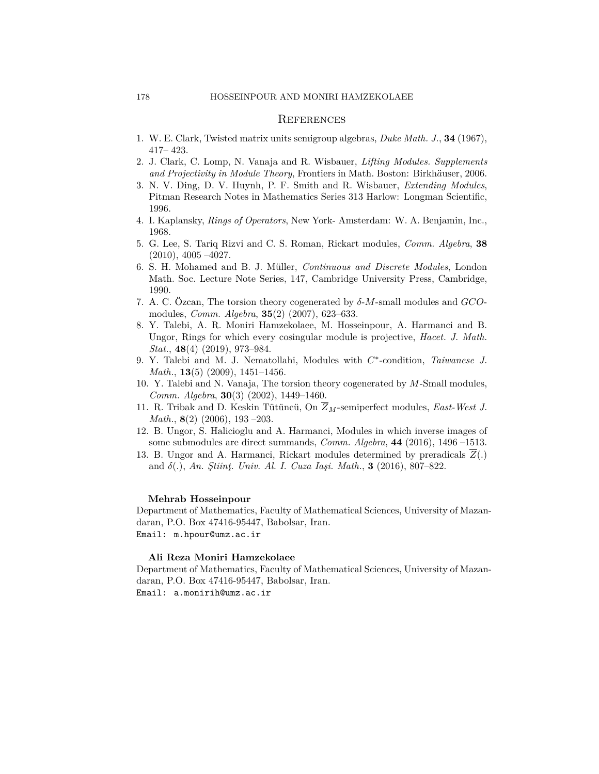#### **REFERENCES**

- <span id="page-11-2"></span>1. W. E. Clark, Twisted matrix units semigroup algebras, *Duke Math. J.*, **34** (1967),  $417 - 423$ .
- <span id="page-11-4"></span>2. J. Clark, C. Lomp, N. Vanaja and R. Wisbauer, *Lifting Modules. Supplements and Projectivity in Module Theory*, Frontiers in Math. Boston: Birkh*a*¨user, 2006.
- <span id="page-11-10"></span>3. N. V. Ding, D. V. Huynh, P. F. Smith and R. Wisbauer, *Extending Modules*, Pitman Research Notes in Mathematics Series 313 Harlow: Longman Scientific, 1996.
- <span id="page-11-1"></span>4. I. Kaplansky, *Rings of Operators*, New York-Amsterdam: W. A. Benjamin, Inc., 1968.
- <span id="page-11-3"></span>5. G. Lee, S. Tariq Rizvi and C. S. Roman, Rickart modules, *Comm. Algebra*, **38**  $(2010), 4005 -4027.$
- <span id="page-11-7"></span>6. S. H. Mohamed and B. J. Müller, *Continuous and Discrete Modules*, London Math. Soc. Lecture Note Series, 147, Cambridge University Press, Cambridge, 1990.
- <span id="page-11-9"></span>7. A. C. Özcan, The torsion theory cogenerated by *δ*-*M*-small modules and *GCO*modules, *Comm. Algebra*, **35**(2) (2007), 623–633.
- <span id="page-11-8"></span>8. Y. Talebi, A. R. Moniri Hamzekolaee, M. Hosseinpour, A. Harmanci and B. Ungor, Rings for which every cosingular module is projective, *Hacet. J. Math. Stat.*, **48**(4) (2019), 973–984.
- <span id="page-11-11"></span>9. Y. Talebi and M. J. Nematollahi, Modules with *C ∗* -condition, *Taiwanese J. Math.*, **13**(5) (2009), 1451–1456.
- <span id="page-11-5"></span>10. Y. Talebi and N. Vanaja, The torsion theory cogenerated by *M*-Small modules, *Comm. Algebra*, **30**(3) (2002), 1449–1460.
- <span id="page-11-12"></span>11. R. Tribak and D. Keskin Tütüncü, On  $\overline{Z}_M$ -semiperfect modules, *East-West J. Math.*, **8**(2) (2006), 193-203.
- <span id="page-11-0"></span>12. B. Ungor, S. Halicioglu and A. Harmanci, Modules in which inverse images of some submodules are direct summands, *Comm. Algebra*,  $44$  (2016), 1496-1513.
- <span id="page-11-6"></span>13. B. Ungor and A. Harmanci, Rickart modules determined by preradicals *Z*(*.*) and *δ*(*.*), *An. Ştiinţ. Univ. Al. I. Cuza Iaşi. Math.*, **3** (2016), 807–822.

#### **Mehrab Hosseinpour**

Department of Mathematics, Faculty of Mathematical Sciences, University of Mazandaran, P.O. Box 47416-95447, Babolsar, Iran. Email: m.hpour@umz.ac.ir

#### **Ali Reza Moniri Hamzekolaee**

Department of Mathematics, Faculty of Mathematical Sciences, University of Mazandaran, P.O. Box 47416-95447, Babolsar, Iran. Email: a.monirih@umz.ac.ir